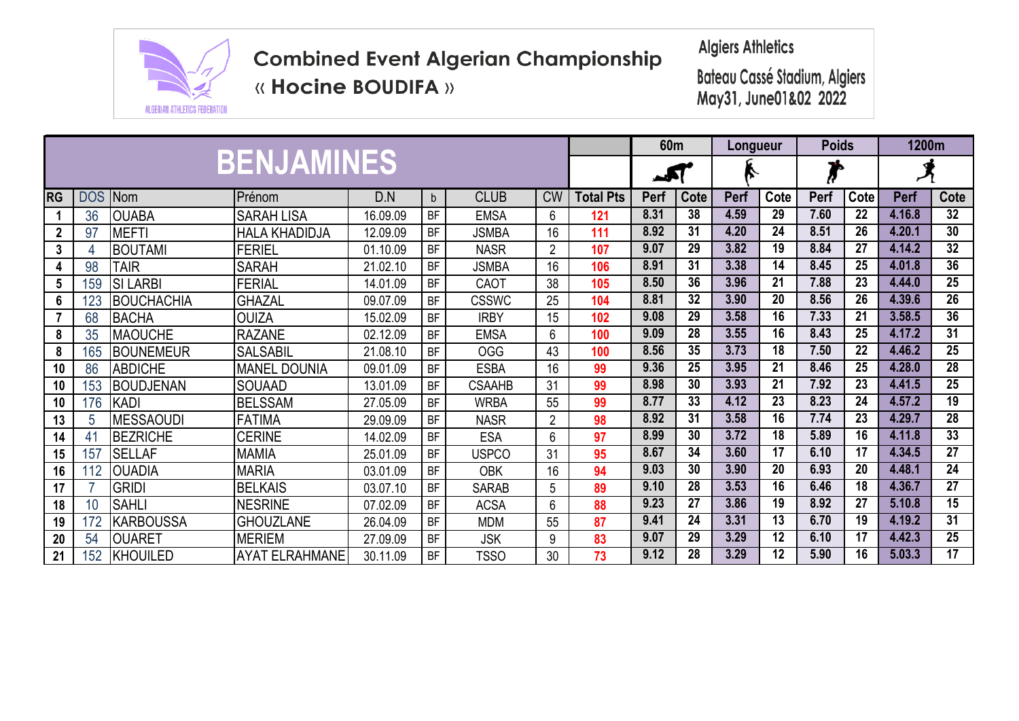

**« Hocine BOUDIFA »** 

**Algiers Athletics** 

|                  |            |                      |                       | 60 <sub>m</sub> |             | Longueur      |                | <b>Poids</b>     |      | 1200m           |             |                            |      |                 |        |                 |
|------------------|------------|----------------------|-----------------------|-----------------|-------------|---------------|----------------|------------------|------|-----------------|-------------|----------------------------|------|-----------------|--------|-----------------|
|                  |            |                      | <b>BENJAMINES</b>     |                 |             |               |                |                  |      | $\rightarrow$   |             | $\boldsymbol{\mathcal{F}}$ |      |                 |        |                 |
| <b>RG</b>        | <b>DOS</b> | <b>Nom</b><br>Prénom |                       | D.N             | $\mathsf b$ | <b>CLUB</b>   | <b>CW</b>      | <b>Total Pts</b> | Perf | Cote            | <b>Perf</b> | Cote                       | Perf | Cote            | Perf   | Cote            |
|                  | 36         | <b>OUABA</b>         | <b>SARAH LISA</b>     | 16.09.09        | <b>BF</b>   | <b>EMSA</b>   | 6              | 121              | 8.31 | 38              | 4.59        | 29                         | 7.60 | 22              | 4.16.8 | 32              |
| $\boldsymbol{2}$ | 97         | <b>MEFTI</b>         | <b>HALA KHADIDJA</b>  | 12.09.09        | <b>BF</b>   | <b>JSMBA</b>  | 16             | 111              | 8.92 | 31              | 4.20        | 24                         | 8.51 | $\overline{26}$ | 4.20.1 | 30              |
| 3                |            | BOUTAMI              | <b>FERIEL</b>         | 01.10.09        | <b>BF</b>   | <b>NASR</b>   | $\overline{2}$ | 107              | 9.07 | 29              | 3.82        | 19                         | 8.84 | 27              | 4.14.2 | $\overline{32}$ |
| 4                | 98         | <b>TAIR</b>          | <b>SARAH</b>          | 21.02.10        | <b>BF</b>   | <b>JSMBA</b>  | 16             | 106              | 8.91 | $\overline{31}$ | 3.38        | $\overline{14}$            | 8.45 | $\overline{25}$ | 4.01.8 | 36              |
| $5\phantom{.0}$  | 159        | <b>SI LARBI</b>      | <b>FERIAL</b>         | 14.01.09        | BF          | CAOT          | 38             | 105              | 8.50 | $\overline{36}$ | 3.96        | $\overline{21}$            | 7.88 | $\overline{23}$ | 4.44.0 | $\overline{25}$ |
| 6                | 123        | <b>BOUCHACHIA</b>    | ghazal                | 09.07.09        | <b>BF</b>   | <b>CSSWC</b>  | 25             | 104              | 8.81 | $\overline{32}$ | 3.90        | $\overline{20}$            | 8.56 | $\overline{26}$ | 4.39.6 | $\overline{26}$ |
| $\overline{7}$   | 68         | <b>BACHA</b>         | ouiza                 | 15.02.09        | <b>BF</b>   | <b>IRBY</b>   | 15             | 102              | 9.08 | 29              | 3.58        | 16                         | 7.33 | 21              | 3.58.5 | 36              |
| 8                | 35         | <b>MAOUCHE</b>       | <b>RAZANE</b>         | 02.12.09        | <b>BF</b>   | <b>EMSA</b>   | 6              | 100              | 9.09 | 28              | 3.55        | 16                         | 8.43 | 25              | 4.17.2 | $\overline{31}$ |
| 8                | 165        | <b>BOUNEMEUR</b>     | <b>SALSABIL</b>       | 21.08.10        | <b>BF</b>   | <b>OGG</b>    | 43             | 100              | 8.56 | 35              | 3.73        | 18                         | 7.50 | 22              | 4.46.2 | $\overline{25}$ |
| 10               | 86         | <b>ABDICHE</b>       | <b>MANEL DOUNIA</b>   | 09.01.09        | BF          | <b>ESBA</b>   | 16             | 99               | 9.36 | 25              | 3.95        | 21                         | 8.46 | 25              | 4.28.0 | $\overline{28}$ |
| 10               | 153        | <b>BOUDJENAN</b>     | <b>SOUAAD</b>         | 13.01.09        | BF          | <b>CSAAHB</b> | 31             | 99               | 8.98 | 30              | 3.93        | 21                         | 7.92 | $\overline{23}$ | 4.41.5 | $\overline{25}$ |
| 10               | 176        | <b>KADI</b>          | <b>BELSSAM</b>        | 27.05.09        | <b>BF</b>   | <b>WRBA</b>   | 55             | 99               | 8.77 | 33              | 4.12        | 23                         | 8.23 | 24              | 4.57.2 | $\overline{19}$ |
| 13               | 5          | <b>MESSAOUDI</b>     | <b>FATIMA</b>         | 29.09.09        | <b>BF</b>   | <b>NASR</b>   | $\overline{2}$ | 98               | 8.92 | 31              | 3.58        | 16                         | 7.74 | $\overline{23}$ | 4.29.7 | 28              |
| 14               | 41         | <b>BEZRICHE</b>      | <b>CERINE</b>         | 14.02.09        | BF          | <b>ESA</b>    | 6              | 97               | 8.99 | 30              | 3.72        | 18                         | 5.89 | 16              | 4.11.8 | 33              |
| 15               | 157        | <b>SELLAF</b>        | <b>MAMIA</b>          | 25.01.09        | <b>BF</b>   | <b>USPCO</b>  | 31             | 95               | 8.67 | $\overline{34}$ | 3.60        | $\overline{17}$            | 6.10 | $\overline{17}$ | 4.34.5 | $\overline{27}$ |
| 16               | 112        | <b>OUADIA</b>        | <b>MARIA</b>          | 03.01.09        | BF          | <b>OBK</b>    | 16             | 94               | 9.03 | 30              | 3.90        | 20                         | 6.93 | 20              | 4.48.1 | $\overline{24}$ |
| 17               |            | <b>GRIDI</b>         | <b>BELKAIS</b>        | 03.07.10        | BF          | <b>SARAB</b>  | 5              | 89               | 9.10 | $\overline{28}$ | 3.53        | $\overline{16}$            | 6.46 | $\overline{18}$ | 4.36.7 | $\overline{27}$ |
| 18               | 10         | <b>SAHLI</b>         | <b>NESRINE</b>        | 07.02.09        | BF          | <b>ACSA</b>   | 6              | 88               | 9.23 | $\overline{27}$ | 3.86        | 19                         | 8.92 | $\overline{27}$ | 5.10.8 | $\overline{15}$ |
| 19               | 172        | <b>KARBOUSSA</b>     | <b>GHOUZLANE</b>      | 26.04.09        | BF          | <b>MDM</b>    | 55             | 87               | 9.41 | $\overline{24}$ | 3.31        | $\overline{13}$            | 6,70 | $\overline{19}$ | 4.19.2 | 31              |
| 20               | 54         | OUARET               | <b>MERIEM</b>         | 27.09.09        | BF          | <b>JSK</b>    | 9              | 83               | 9.07 | 29              | 3.29        | 12                         | 6.10 | $\overline{17}$ | 4.42.3 | $\overline{25}$ |
| 21               | 152        | <b>KHOUILED</b>      | <b>AYAT ELRAHMANE</b> | 30.11.09        | <b>BF</b>   | <b>TSSO</b>   | 30             | 73               | 9.12 | 28              | 3.29        | 12                         | 5.90 | 16              | 5.03.3 | $\overline{17}$ |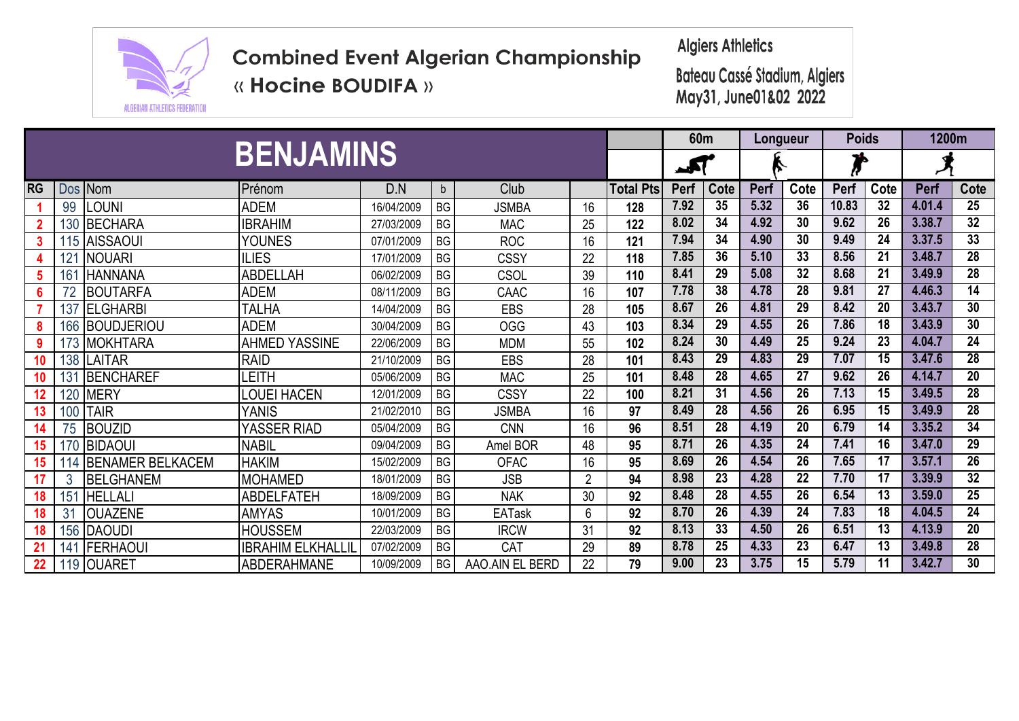

**Algiers Athletics** 

**« Hocine BOUDIFA »** 

|    |         |                         |                          | 60 <sub>m</sub> |              |                 | Longueur       | <b>Poids</b>     |      | 1200m           |      |                 |       |                 |        |                 |
|----|---------|-------------------------|--------------------------|-----------------|--------------|-----------------|----------------|------------------|------|-----------------|------|-----------------|-------|-----------------|--------|-----------------|
|    |         | <b>BENJAMINS</b>        |                          | الحمد           |              | ∼               |                | ъ                |      |                 |      |                 |       |                 |        |                 |
| RG | Dos Nom |                         | Prénom                   | D.N             | $\mathsf{b}$ | Club            |                | <b>Total Pts</b> | Perf | Cote            | Perf | Cote            | Perf  | Cote            | Perf   | Cote            |
|    | 99      | LOUNI                   | <b>ADEM</b>              | 16/04/2009      | <b>BG</b>    | <b>JSMBA</b>    | 16             | 128              | 7.92 | 35              | 5.32 | $\overline{36}$ | 10.83 | $\overline{32}$ | 4.01.4 | $\overline{25}$ |
|    |         | 130 BECHARA             | <b>IBRAHIM</b>           | 27/03/2009      | <b>BG</b>    | <b>MAC</b>      | 25             | 122              | 8.02 | 34              | 4.92 | 30              | 9.62  | 26              | 3.38.7 | 32              |
|    |         | 115 AISSAOUI            | <b>YOUNES</b>            | 07/01/2009      | <b>BG</b>    | <b>ROC</b>      | 16             | 121              | 7.94 | 34              | 4.90 | 30              | 9.49  | 24              | 3.37.5 | 33              |
|    | 121     | <b>INOUARI</b>          | <b>ILIES</b>             | 17/01/2009      | <b>BG</b>    | <b>CSSY</b>     | 22             | 118              | 7.85 | 36              | 5.10 | 33              | 8.56  | $\overline{21}$ | 3.48.7 | $\overline{28}$ |
|    | 161     | <b>HANNANA</b>          | ABDELLAH                 | 06/02/2009      | <b>BG</b>    | CSOL            | 39             | 110              | 8.41 | 29              | 5.08 | 32              | 8.68  | 21              | 3.49.9 | $\overline{28}$ |
|    |         | <b>BOUTARFA</b>         | ADEM                     | 08/11/2009      | <b>BG</b>    | CAAC            | 16             | 107              | 7.78 | 38              | 4.78 | 28              | 9.81  | 27              | 4.46.3 | $\overline{14}$ |
|    |         | 137 ELGHARBI            | <b>TALHA</b>             | 14/04/2009      | BG           | EBS             | 28             | 105              | 8.67 | $\overline{26}$ | 4.81 | 29              | 8.42  | 20              | 3.43.7 | $\overline{30}$ |
|    |         | 166 BOUDJERIOU          | <b>ADEM</b>              | 30/04/2009      | <b>BG</b>    | <b>OGG</b>      | 43             | 103              | 8.34 | 29              | 4.55 | $\overline{26}$ | 7.86  | $\overline{18}$ | 3.43.9 | 30              |
| 9  |         | 173 MOKHTARA            | <b>AHMED YASSINE</b>     | 22/06/2009      | <b>BG</b>    | <b>MDM</b>      | 55             | 102              | 8.24 | 30              | 4.49 | $\overline{25}$ | 9.24  | $\overline{23}$ | 4.04.7 | $\overline{24}$ |
| 10 |         | 138 LAITAR              | <b>RAID</b>              | 21/10/2009      | <b>BG</b>    | EBS             | 28             | 101              | 8.43 | 29              | 4.83 | 29              | 7.07  | 15              | 3.47.6 | 28              |
| 10 | 131     | <b>IBENCHAREF</b>       | EITH.                    | 05/06/2009      | <b>BG</b>    | <b>MAC</b>      | 25             | 101              | 8.48 | $\overline{28}$ | 4.65 | $\overline{27}$ | 9.62  | $\overline{26}$ | 4.14.7 | $\overline{20}$ |
| 12 |         | <b>120 MERY</b>         | <b>LOUEI HACEN</b>       | 12/01/2009      | <b>BG</b>    | <b>CSSY</b>     | 22             | 100              | 8.21 | 31              | 4.56 | 26              | 7.13  | 15              | 3.49.5 | $\overline{28}$ |
| 13 |         | <b>100 TAIR</b>         | YANIS                    | 21/02/2010      | <b>BG</b>    | <b>JSMBA</b>    | 16             | 97               | 8.49 | 28              | 4.56 | 26              | 6.95  | 15              | 3.49.9 | $\overline{28}$ |
| 14 | 75      | <b>BOUZID</b>           | <b>YASSER RIAD</b>       | 05/04/2009      | <b>BG</b>    | <b>CNN</b>      | 16             | 96               | 8.51 | 28              | 4.19 | 20              | 6.79  | 14              | 3.35.2 | $\overline{34}$ |
| 15 |         | 170 BIDAOUI             | <b>NABIL</b>             | 09/04/2009      | <b>BG</b>    | Amel BOR        | 48             | 95               | 8.71 | 26              | 4.35 | $\overline{24}$ | 7.41  | $\overline{16}$ | 3.47.0 | 29              |
| 15 | 114     | <b>BENAMER BELKACEM</b> | <b>HAKIM</b>             | 15/02/2009      | <b>BG</b>    | <b>OFAC</b>     | 16             | 95               | 8.69 | 26              | 4.54 | $\overline{26}$ | 7.65  | 17              | 3.57.1 | 26              |
|    | 3       | <b>IBELGHANEM</b>       | <b>MOHAMED</b>           | 18/01/2009      | <b>BG</b>    | <b>JSB</b>      | $\overline{2}$ | 94               | 8.98 | $\overline{23}$ | 4.28 | $\overline{22}$ | 7.70  | $\overline{17}$ | 3.39.9 | 32              |
| 18 | 151     | <b>HELLALI</b>          | <b>ABDELFATEH</b>        | 18/09/2009      | <b>BG</b>    | <b>NAK</b>      | 30             | 92               | 8.48 | $\overline{28}$ | 4.55 | 26              | 6.54  | 13              | 3.59.0 | 25              |
| 18 | 31      | <b>OUAZENE</b>          | <b>AMYAS</b>             | 10/01/2009      | <b>BG</b>    | <b>EATask</b>   | 6              | 92               | 8.70 | $\overline{26}$ | 4.39 | $\overline{24}$ | 7.83  | 18              | 4.04.5 | $\overline{24}$ |
| 18 |         | 156 DAOUDI              | <b>HOUSSEM</b>           | 22/03/2009      | <b>BG</b>    | <b>IRCW</b>     | 31             | 92               | 8.13 | 33              | 4.50 | 26              | 6.51  | 13              | 4.13.9 | $\overline{20}$ |
| 21 | 141     | <b>FERHAOUI</b>         | <b>IBRAHIM ELKHALLII</b> | 07/02/2009      | <b>BG</b>    | CAT             | 29             | 89               | 8.78 | 25              | 4.33 | 23              | 6.47  | 13              | 3.49.8 | 28              |
| 22 |         | 119 OUARET              | <b>ABDERAHMANE</b>       | 10/09/2009      | <b>BG</b>    | AAO.AIN EL BERD | 22             | 79               | 9.00 | $\overline{23}$ | 3.75 | $\overline{15}$ | 5.79  | 11              | 3.42.7 | 30              |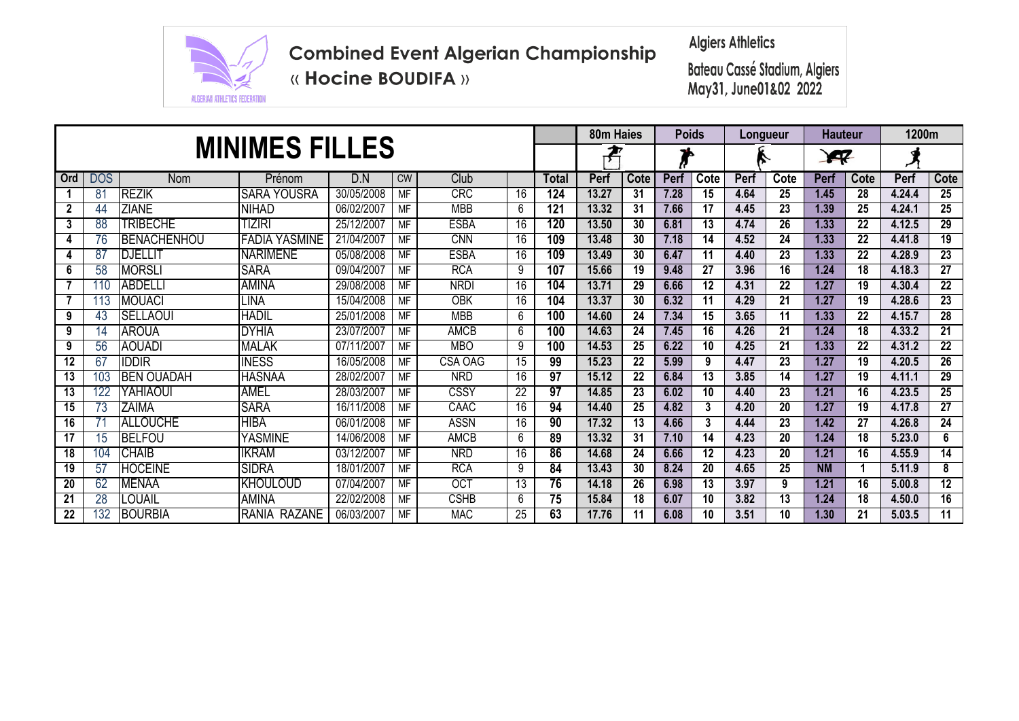

**Algiers Athletics** 

**« Hocine BOUDIFA »** 

|                 |                |                    |                       | 80m Haies  |           | Poids       |                 | Longueur        |       | <b>Hauteur</b>  |             | 1200m           |      |                 |             |      |        |                 |
|-----------------|----------------|--------------------|-----------------------|------------|-----------|-------------|-----------------|-----------------|-------|-----------------|-------------|-----------------|------|-----------------|-------------|------|--------|-----------------|
|                 |                |                    | <b>MINIMES FILLES</b> |            | ₽         |             |                 |                 |       |                 | <b>A</b>    |                 |      |                 |             |      |        |                 |
| Ord             | <b>DOS</b>     | <b>Nom</b>         | Prénom                | D.N        | <b>CW</b> | Club        |                 | Total           | Perf  | Cote            | <b>Perf</b> | Cote            | Perf | Cote            | <b>Perf</b> | Cote | Perf   | Cote            |
|                 | $8^{\circ}$    | <b>REZIK</b>       | <b>SARA YOUSRA</b>    | 30/05/2008 | <b>MF</b> | <b>CRC</b>  | 16              | 124             | 13.27 | 31              | 7.28        | 15              | 4.64 | 25              | 1.45        | 28   | 4.24.4 | 25              |
| $\overline{2}$  | 44             | <b>ZIANE</b>       | <b>NIHAD</b>          | 06/02/2007 | MF        | <b>MBB</b>  | 6               | 121             | 13.32 | 31              | 7.66        | 17              | 4.45 | 23              | 1.39        | 25   | 4.24.1 | 25              |
| 3               | 88             | TRIBECHE           | tiziri                | 25/12/2007 | <b>MF</b> | <b>ESBA</b> | 16              | 120             | 13.50 | 30              | 6.81        | 13              | 4.74 | 26              | 1.33        | 22   | 4.12.5 | 29              |
| 4               | 76             | <b>BENACHENHOU</b> | <b>FADIA YASMINE</b>  | 21/04/2007 | <b>MF</b> | <b>CNN</b>  | 16              | 109             | 13.48 | 30              | 7.18        | 14              | 4.52 | 24              | 1.33        | 22   | 4.41.8 | $\overline{19}$ |
| 4               | 8 <sub>1</sub> | <b>DJELLIT</b>     | <b>NARIMENE</b>       | 05/08/2008 | <b>MF</b> | <b>ESBA</b> | 16              | 109             | 13.49 | 30              | 6.47        | 11              | 4.40 | 23              | 1.33        | 22   | 4.28.9 | $\overline{23}$ |
| 6               | 58             | <b>MORSLI</b>      | <b>SARA</b>           | 09/04/2007 | <b>MF</b> | <b>RCA</b>  | 9               | 107             | 15.66 | 19              | 9.48        | $\overline{27}$ | 3.96 | $\overline{16}$ | 1.24        | 18   | 4.18.3 | $\overline{27}$ |
|                 | 110            | <b>ABDELLI</b>     | <b>AMINA</b>          | 29/08/2008 | <b>MF</b> | <b>NRDI</b> | 16              | 104             | 13.71 | 29              | 6.66        | 12              | 4.31 | $\overline{22}$ | 1.27        | 19   | 4.30.4 | $\overline{22}$ |
|                 | 113            | <b>MOUACI</b>      | LINA                  | 15/04/2008 | MF        | <b>OBK</b>  | 16              | 104             | 13.37 | 30              | 6.32        | 11              | 4.29 | 21              | 1.27        | 19   | 4.28.6 | $\overline{23}$ |
| 9               | -43            | <b>SELLAOUI</b>    | <b>HADIL</b>          | 25/01/2008 | <b>MF</b> | <b>MBB</b>  | 6               | 100             | 14.60 | 24              | 7.34        | 15              | 3.65 | 11              | 1.33        | 22   | 4.15.7 | $\overline{28}$ |
| 9               | 14             | <b>AROUA</b>       | <b>DYHIA</b>          | 23/07/2007 | <b>MF</b> | <b>AMCB</b> | 6               | 100             | 14.63 | 24              | 7.45        | 16              | 4.26 | 21              | 1.24        | 18   | 4.33.2 | $\overline{21}$ |
| 9               | 56             | <b>AOUADI</b>      | <b>MALAK</b>          | 07/11/2007 | <b>MF</b> | <b>MBO</b>  | 9               | 100             | 14.53 | 25              | 6.22        | 10              | 4.25 | 21              | 1.33        | 22   | 4.31.2 | $\overline{22}$ |
| 12              | 67             | IDDIR              | <b>INESS</b>          | 16/05/2008 | <b>MF</b> | CSA OAG     | 15              | 99              | 15.23 | 22              | 5.99        | 9               | 4.47 | 23              | 1.27        | 19   | 4.20.5 | 26              |
| 13              | 103            | <b>BEN OUADAH</b>  | <b>HASNAA</b>         | 28/02/2007 | <b>MF</b> | <b>NRD</b>  | 16              | $\overline{97}$ | 15.12 | 22              | 6.84        | 13              | 3.85 | 14              | 1.27        | 19   | 4.11.1 | 29              |
| 13              |                | YAHIAOUI           | <b>AMEL</b>           | 28/03/2007 | <b>MF</b> | CSSY        | $\overline{22}$ | 97              | 14.85 | 23              | 6.02        | $\overline{10}$ | 4.40 | $\overline{23}$ | 1.21        | 16   | 4.23.5 | 25              |
| 15              | 73             | <b>ZAIMA</b>       | <b>SARA</b>           | 16/11/2008 | MF        | CAAC        | 16              | 94              | 14.40 | 25              | 4.82        | 3               | 4.20 | 20              | 1.27        | 19   | 4.17.8 | $\overline{27}$ |
| 16              |                | <b>ALLOUCHE</b>    | <b>HIBA</b>           | 06/01/2008 | <b>MF</b> | <b>ASSN</b> | 16              | 90              | 17.32 | $\overline{13}$ | 4.66        | 3               | 4.44 | 23              | 1.42        | 27   | 4.26.8 | 24              |
| 17              | 15             | <b>BELFOU</b>      | <b>YASMINE</b>        | 14/06/2008 | <b>MF</b> | AMCB        | 6               | 89              | 13.32 | 31              | 7.10        | 14              | 4.23 | 20              | 1.24        | 18   | 5.23.0 | 6               |
| 18              | 104            | <b>CHAIB</b>       | <b>IKRAM</b>          | 03/12/2007 | <b>MF</b> | <b>NRD</b>  | 16              | 86              | 14.68 | 24              | 6.66        | $\overline{12}$ | 4.23 | 20              | 1.21        | 16   | 4.55.9 | 14              |
| 19              | 57             | <b>HOCEINE</b>     | <b>SIDRA</b>          | 18/01/2007 | <b>MF</b> | <b>RCA</b>  | 9               | 84              | 13.43 | 30              | 8.24        | 20              | 4.65 | 25              | <b>NM</b>   |      | 5.11.9 | 8               |
| 20              | 62             | <b>MENAA</b>       | <b>KHOULOUD</b>       | 07/04/2007 | MF        | <b>OCT</b>  | 13              | 76              | 14.18 | 26              | 6.98        | 13              | 3.97 | 9               | 1.21        | 16   | 5.00.8 | $\overline{12}$ |
| 21              | 28             | <b>OUAIL</b>       | <b>AMINA</b>          | 22/02/2008 | <b>MF</b> | <b>CSHB</b> | 6               | $\overline{75}$ | 15.84 | 18              | 6.07        | 10              | 3.82 | 13              | $1.24$      | 18   | 4.50.0 | $\overline{16}$ |
| $\overline{22}$ | 132            | <b>BOURBIA</b>     | RANIA RAZANE          | 06/03/2007 | MF        | <b>MAC</b>  | 25              | 63              | 17.76 | 11              | 6.08        | 10              | 3.51 | 10              | 1.30        | 21   | 5.03.5 | $\overline{11}$ |